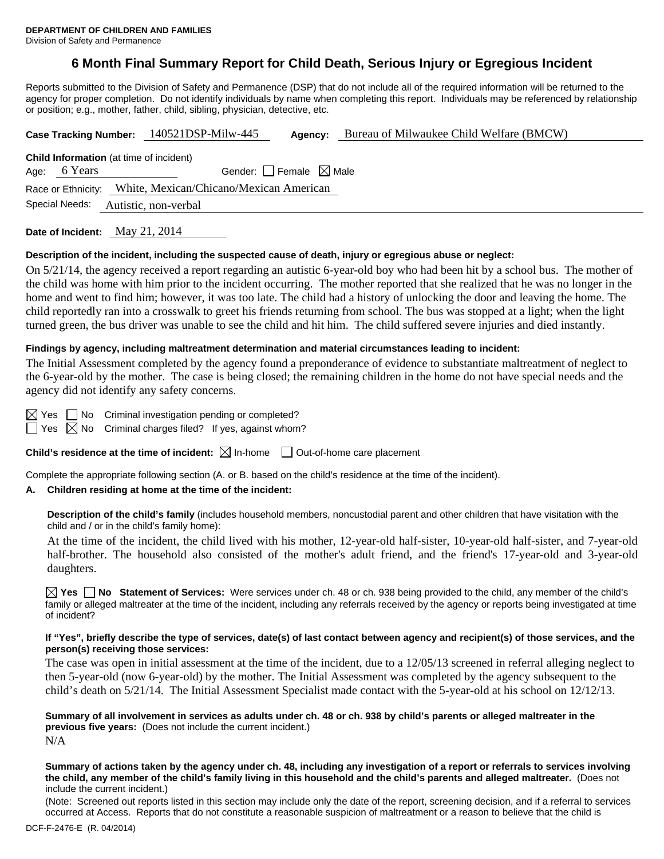# **6 Month Final Summary Report for Child Death, Serious Injury or Egregious Incident**

Reports submitted to the Division of Safety and Permanence (DSP) that do not include all of the required information will be returned to the agency for proper completion. Do not identify individuals by name when completing this report. Individuals may be referenced by relationship or position; e.g., mother, father, child, sibling, physician, detective, etc.

|                                                |                                 | Case Tracking Number: 140521DSP-Milw-445                   | Agency: | Bureau of Milwaukee Child Welfare (BMCW) |  |  |  |
|------------------------------------------------|---------------------------------|------------------------------------------------------------|---------|------------------------------------------|--|--|--|
| <b>Child Information</b> (at time of incident) |                                 |                                                            |         |                                          |  |  |  |
| 6 Years<br>Age:                                | Gender: Female $\boxtimes$ Male |                                                            |         |                                          |  |  |  |
|                                                |                                 | Race or Ethnicity: White, Mexican/Chicano/Mexican American |         |                                          |  |  |  |
| Special Needs:                                 |                                 | Autistic, non-verbal                                       |         |                                          |  |  |  |
| Date of Incident: May 21, 2014                 |                                 |                                                            |         |                                          |  |  |  |

#### **Description of the incident, including the suspected cause of death, injury or egregious abuse or neglect:**

On 5/21/14, the agency received a report regarding an autistic 6-year-old boy who had been hit by a school bus. The mother of the child was home with him prior to the incident occurring. The mother reported that she realized that he was no longer in the home and went to find him; however, it was too late. The child had a history of unlocking the door and leaving the home. The child reportedly ran into a crosswalk to greet his friends returning from school. The bus was stopped at a light; when the light turned green, the bus driver was unable to see the child and hit him. The child suffered severe injuries and died instantly.

#### **Findings by agency, including maltreatment determination and material circumstances leading to incident:**

The Initial Assessment completed by the agency found a preponderance of evidence to substantiate maltreatment of neglect to the 6-year-old by the mother. The case is being closed; the remaining children in the home do not have special needs and the agency did not identify any safety concerns.

 $\boxtimes$  Yes  $\Box$  No Criminal investigation pending or completed?

 $\Box$  Yes  $\boxtimes$  No Criminal charges filed? If yes, against whom?

**Child's residence at the time of incident:**  $\boxtimes$  In-home  $\Box$  Out-of-home care placement

Complete the appropriate following section (A. or B. based on the child's residence at the time of the incident).

### **A. Children residing at home at the time of the incident:**

**Description of the child's family** (includes household members, noncustodial parent and other children that have visitation with the child and / or in the child's family home):

 At the time of the incident, the child lived with his mother, 12-year-old half-sister, 10-year-old half-sister, and 7-year-old half-brother. The household also consisted of the mother's adult friend, and the friend's 17-year-old and 3-year-old daughters.

**Yes No Statement of Services:** Were services under ch. 48 or ch. 938 being provided to the child, any member of the child's family or alleged maltreater at the time of the incident, including any referrals received by the agency or reports being investigated at time of incident?

#### **If "Yes", briefly describe the type of services, date(s) of last contact between agency and recipient(s) of those services, and the person(s) receiving those services:**

The case was open in initial assessment at the time of the incident, due to a 12/05/13 screened in referral alleging neglect to then 5-year-old (now 6-year-old) by the mother. The Initial Assessment was completed by the agency subsequent to the child's death on 5/21/14. The Initial Assessment Specialist made contact with the 5-year-old at his school on 12/12/13.

**Summary of all involvement in services as adults under ch. 48 or ch. 938 by child's parents or alleged maltreater in the previous five years:** (Does not include the current incident.) N/A

**Summary of actions taken by the agency under ch. 48, including any investigation of a report or referrals to services involving the child, any member of the child's family living in this household and the child's parents and alleged maltreater.** (Does not include the current incident.)

(Note: Screened out reports listed in this section may include only the date of the report, screening decision, and if a referral to services occurred at Access. Reports that do not constitute a reasonable suspicion of maltreatment or a reason to believe that the child is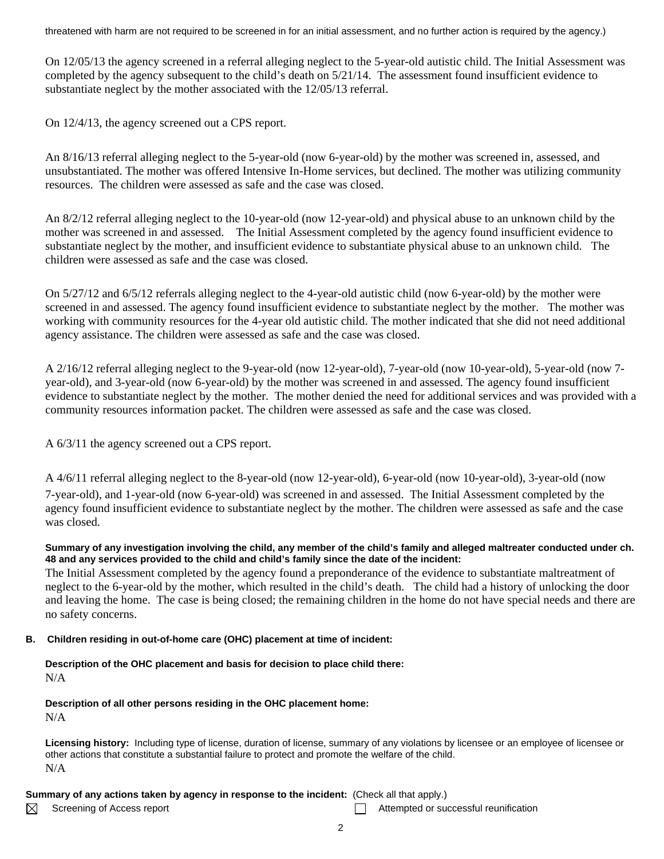threatened with harm are not required to be screened in for an initial assessment, and no further action is required by the agency.)

On 12/05/13 the agency screened in a referral alleging neglect to the 5-year-old autistic child. The Initial Assessment was completed by the agency subsequent to the child's death on 5/21/14. The assessment found insufficient evidence to substantiate neglect by the mother associated with the 12/05/13 referral.

On 12/4/13, the agency screened out a CPS report.

An 8/16/13 referral alleging neglect to the 5-year-old (now 6-year-old) by the mother was screened in, assessed, and unsubstantiated. The mother was offered Intensive In-Home services, but declined. The mother was utilizing community resources. The children were assessed as safe and the case was closed.

An 8/2/12 referral alleging neglect to the 10-year-old (now 12-year-old) and physical abuse to an unknown child by the mother was screened in and assessed. The Initial Assessment completed by the agency found insufficient evidence to substantiate neglect by the mother, and insufficient evidence to substantiate physical abuse to an unknown child. The children were assessed as safe and the case was closed.

On 5/27/12 and 6/5/12 referrals alleging neglect to the 4-year-old autistic child (now 6-year-old) by the mother were screened in and assessed. The agency found insufficient evidence to substantiate neglect by the mother. The mother was working with community resources for the 4-year old autistic child. The mother indicated that she did not need additional agency assistance. The children were assessed as safe and the case was closed.

A 2/16/12 referral alleging neglect to the 9-year-old (now 12-year-old), 7-year-old (now 10-year-old), 5-year-old (now 7 year-old), and 3-year-old (now 6-year-old) by the mother was screened in and assessed. The agency found insufficient evidence to substantiate neglect by the mother. The mother denied the need for additional services and was provided with a community resources information packet. The children were assessed as safe and the case was closed.

A 6/3/11 the agency screened out a CPS report.

A 4/6/11 referral alleging neglect to the 8-year-old (now 12-year-old), 6-year-old (now 10-year-old), 3-year-old (now 7-year-old), and 1-year-old (now 6-year-old) was screened in and assessed. The Initial Assessment completed by the agency found insufficient evidence to substantiate neglect by the mother. The children were assessed as safe and the case

was closed.

## **Summary of any investigation involving the child, any member of the child's family and alleged maltreater conducted under ch. 48 and any services provided to the child and child's family since the date of the incident:**

The Initial Assessment completed by the agency found a preponderance of the evidence to substantiate maltreatment of neglect to the 6-year-old by the mother, which resulted in the child's death. The child had a history of unlocking the door and leaving the home. The case is being closed; the remaining children in the home do not have special needs and there are no safety concerns.

# **B. Children residing in out-of-home care (OHC) placement at time of incident:**

**Description of the OHC placement and basis for decision to place child there:** N/A

**Description of all other persons residing in the OHC placement home:** N/A

**Licensing history:** Including type of license, duration of license, summary of any violations by licensee or an employee of licensee or other actions that constitute a substantial failure to protect and promote the welfare of the child. N/A

# **Summary of any actions taken by agency in response to the incident:** (Check all that apply.)

⊠

Screening of Access report Attempted or successful reunification